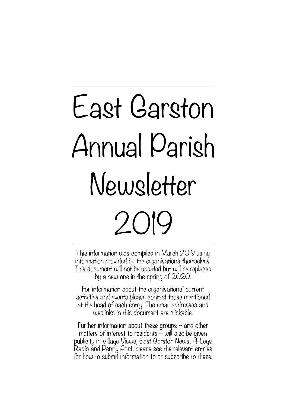# East Garston Annual Parish Newsletter 2019

This information was compiled in March 2019 using information provided by the organisations themselves. This document will not be updated but will be replaced by a new one in the spring of 2020.

For information about the organisations' current activities and events please contact those mentioned at the head of each entry. The email addresses and weblinks in this document are clickable.

Further information about these groups – and other matters of interest to residents  $\sim$  will also be given publicity in Village Views, East Garston News, 4 Legs Radio and Penny Post: please see the relevant entries for how to submit information to or subscribe to these.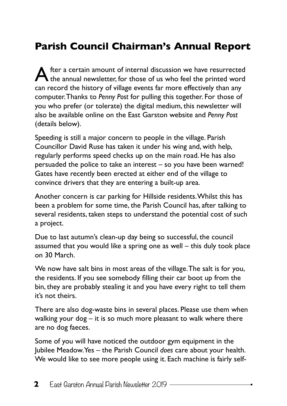### **Parish Council Chairman's Annual Report**

A fter a certain amount of internal discussion we have resurrected the annual newsletter, for those of us who feel the printed word can record the history of village events far more effectively than any computer. Thanks to *Penny Post* for pulling this together. For those of you who prefer (or tolerate) the digital medium, this newsletter will also be available online on the East Garston website and *Penny Post* (details below).

Speeding is still a major concern to people in the village. Parish Councillor David Ruse has taken it under his wing and, with help, regularly performs speed checks up on the main road. He has also persuaded the police to take an interest – so you have been warned! Gates have recently been erected at either end of the village to convince drivers that they are entering a built-up area.

Another concern is car parking for Hillside residents. Whilst this has been a problem for some time, the Parish Council has, after talking to several residents, taken steps to understand the potential cost of such a project.

Due to last autumn's clean-up day being so successful, the council assumed that you would like a spring one as well – this duly took place on 30 March.

We now have salt bins in most areas of the village. The salt is for you, the residents. If you see somebody filling their car boot up from the bin, they are probably stealing it and you have every right to tell them it's not theirs.

There are also dog-waste bins in several places. Please use them when walking your dog – it is so much more pleasant to walk where there are no dog faeces.

Some of you will have noticed the outdoor gym equipment in the Jubilee Meadow. Yes – the Parish Council *does* care about your health. We would like to see more people using it. Each machine is fairly self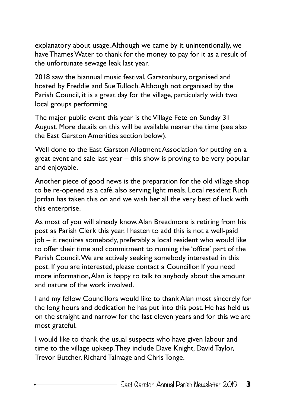explanatory about usage. Although we came by it unintentionally, we have Thames Water to thank for the money to pay for it as a result of the unfortunate sewage leak last year.

2018 saw the biannual music festival, Garstonbury, organised and hosted by Freddie and Sue Tulloch. Although not organised by the Parish Council, it is a great day for the village, particularly with two local groups performing.

The major public event this year is the Village Fete on Sunday 31 August. More details on this will be available nearer the time (see also the East Garston Amenities section below).

Well done to the East Garston Allotment Association for putting on a great event and sale last year – this show is proving to be very popular and enjoyable.

Another piece of good news is the preparation for the old village shop to be re-opened as a café, also serving light meals. Local resident Ruth Jordan has taken this on and we wish her all the very best of luck with this enterprise.

As most of you will already know, Alan Breadmore is retiring from his post as Parish Clerk this year. I hasten to add this is not a well-paid job – it requires somebody, preferably a local resident who would like to offer their time and commitment to running the 'office' part of the Parish Council. We are actively seeking somebody interested in this post. If you are interested, please contact a Councillor. If you need more information, Alan is happy to talk to anybody about the amount and nature of the work involved.

I and my fellow Councillors would like to thank Alan most sincerely for the long hours and dedication he has put into this post. He has held us on the straight and narrow for the last eleven years and for this we are most grateful.

I would like to thank the usual suspects who have given labour and time to the village upkeep. They include Dave Knight, David Taylor, Trevor Butcher, Richard Talmage and Chris Tonge.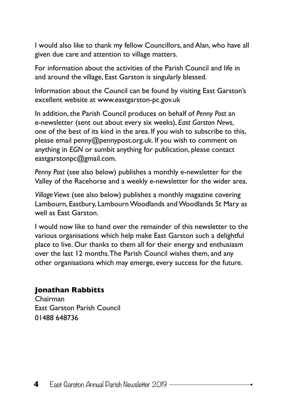I would also like to thank my fellow Councillors, and Alan, who have all given due care and attention to village matters.

For information about the activities of the Parish Council and life in and around the village, East Garston is singularly blessed.

Information about the Council can be found by visiting East Garston's excellent website at [www.eastgarston-pc.gov.uk](http://www.eastgarston-pc.gov.uk)

In addition, the Parish Council produces on behalf of *Penny Post* an e-newsletter (sent out about every six weeks), *East Garston News*, one of the best of its kind in the area. If you wish to subscribe to this, please email [penny@pennypost.org.uk.](mailto:penny@pennypost.org.uk) If you wish to comment on anything in *EGN* or sumbit anything for publication, please contact eastgarstonpc@gmail.com.

*Penny Post* (see also below) publishes a monthly e-newsletter for the Valley of the Racehorse and a weekly e-newsletter for the wider area.

*Village Views* (see also below) publishes a monthly magazine covering Lambourn, Eastbury, Lambourn Woodlands and Woodlands St Mary as well as East Garston.

I would now like to hand over the remainder of this newsletter to the various organisations which help make East Garston such a delightful place to live. Our thanks to them all for their energy and enthusiasm over the last 12 months. The Parish Council wishes them, and any other organisations which may emerge, every success for the future.

#### **Jonathan Rabbitts**

Chairman East Garston Parish Council 01488 648736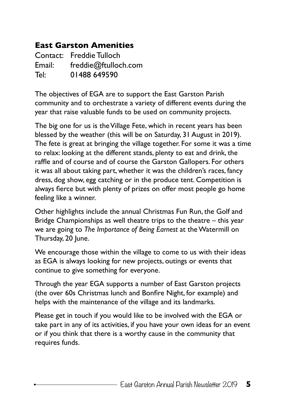#### **East Garston Amenities**

Contact: Freddie Tulloch Email: [freddie@ftulloch.com](mailto:freddie@ftulloch.com) Tel: 01488 649590

The objectives of EGA are to support the East Garston Parish community and to orchestrate a variety of different events during the year that raise valuable funds to be used on community projects.

The big one for us is the Village Fete, which in recent years has been blessed by the weather (this will be on Saturday, 31 August in 2019). The fete is great at bringing the village together. For some it was a time to relax: looking at the different stands, plenty to eat and drink, the raffle and of course and of course the Garston Gallopers. For others it was all about taking part, whether it was the children's races, fancy dress, dog show, egg catching or in the produce tent. Competition is always fierce but with plenty of prizes on offer most people go home feeling like a winner.

Other highlights include the annual Christmas Fun Run, the Golf and Bridge Championships as well theatre trips to the theatre – this year we are going to *The Importance of Being Earnest* at the Watermill on Thursday, 20 June.

We encourage those within the village to come to us with their ideas as EGA is always looking for new projects, outings or events that continue to give something for everyone.

Through the year EGA supports a number of East Garston projects (the over 60s Christmas lunch and Bonfire Night, for example) and helps with the maintenance of the village and its landmarks.

Please get in touch if you would like to be involved with the EGA or take part in any of its activities, if you have your own ideas for an event or if you think that there is a worthy cause in the community that requires funds.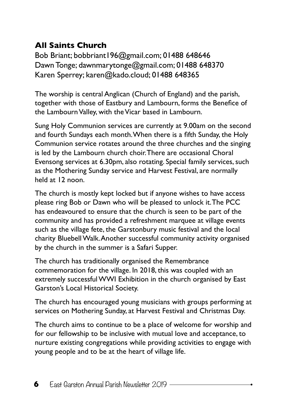#### **All Saints Church**

Bob Briant; [bobbriant196@gmail.com;](mailto:bobbriant196@gmail.com) 01488 648646 Dawn Tonge; [dawnmarytonge@gmail.com](mailto:dawnmarytonge@gmail.com); 01488 648370 Karen Sperrey; [karen@kado.cloud](mailto:karen@kado.cloud); 01488 648365

The worship is central Anglican (Church of England) and the parish, together with those of Eastbury and Lambourn, forms the Benefice of the Lambourn Valley, with the Vicar based in Lambourn.

Sung Holy Communion services are currently at 9.00am on the second and fourth Sundays each month. When there is a fifth Sunday, the Holy Communion service rotates around the three churches and the singing is led by the Lambourn church choir. There are occasional Choral Evensong services at 6.30pm, also rotating. Special family services, such as the Mothering Sunday service and Harvest Festival, are normally held at 12 noon.

The church is mostly kept locked but if anyone wishes to have access please ring Bob or Dawn who will be pleased to unlock it. The PCC has endeavoured to ensure that the church is seen to be part of the community and has provided a refreshment marquee at village events such as the village fete, the Garstonbury music festival and the local charity Bluebell Walk. Another successful community activity organised by the church in the summer is a Safari Supper.

The church has traditionally organised the Remembrance commemoration for the village. In 2018, this was coupled with an extremely successful WWI Exhibition in the church organised by East Garston's Local Historical Society.

The church has encouraged young musicians with groups performing at services on Mothering Sunday, at Harvest Festival and Christmas Day.

The church aims to continue to be a place of welcome for worship and for our fellowship to be inclusive with mutual love and acceptance, to nurture existing congregations while providing activities to engage with young people and to be at the heart of village life.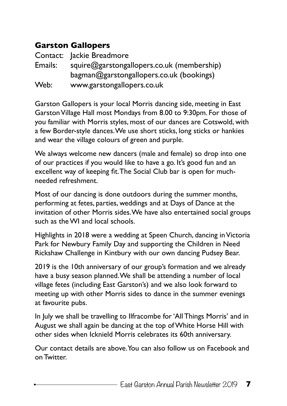#### **Garston Gallopers**

|         | Contact: Jackie Breadmore                  |
|---------|--------------------------------------------|
| Emails: | squire@garstongallopers.co.uk (membership) |
|         | bagman@garstongallopers.co.uk (bookings)   |
| Web:    | www.garstongallopers.co.uk                 |

Garston Gallopers is your local Morris dancing side, meeting in East Garston Village Hall most Mondays from 8.00 to 9:30pm. For those of you familiar with Morris styles, most of our dances are Cotswold, with a few Border-style dances. We use short sticks, long sticks or hankies and wear the village colours of green and purple.

We always welcome new dancers (male and female) so drop into one of our practices if you would like to have a go. It's good fun and an excellent way of keeping fit. The Social Club bar is open for muchneeded refreshment.

Most of our dancing is done outdoors during the summer months, performing at fetes, parties, weddings and at Days of Dance at the invitation of other Morris sides. We have also entertained social groups such as the WI and local schools.

Highlights in 2018 were a wedding at Speen Church, dancing in Victoria Park for Newbury Family Day and supporting the Children in Need Rickshaw Challenge in Kintbury with our own dancing Pudsey Bear.

2019 is the 10th anniversary of our group's formation and we already have a busy season planned. We shall be attending a number of local village fetes (including East Garston's) and we also look forward to meeting up with other Morris sides to dance in the summer evenings at favourite pubs.

In July we shall be travelling to Ilfracombe for 'All Things Morris' and in August we shall again be dancing at the top of White Horse Hill with other sides when Icknield Morris celebrates its 60th anniversary.

Our contact details are above. You can also follow us on Facebook and on Twitter.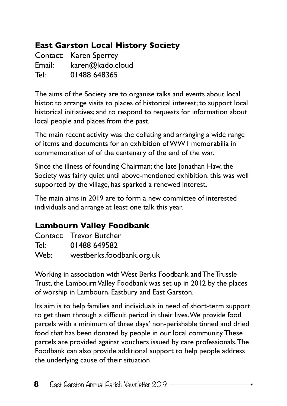#### **East Garston Local History Society**

Contact: Karen Sperrey Email: [karen@kado.cloud](mailto:karen@kado.cloud) Tel: 01488 648365

The aims of the Society are to organise talks and events about local histor, to arrange visits to places of historical interest; to support local historical initiatives; and to respond to requests for information about local people and places from the past.

The main recent activity was the collating and arranging a wide range of items and documents for an exhibition of WW1 memorabilia in commemoration of of the centenary of the end of the war.

Since the illness of founding Chairman; the late Jonathan Haw, the Society was fairly quiet until above-mentioned exhibition. this was well supported by the village, has sparked a renewed interest.

The main aims in 2019 are to form a new committee of interested individuals and arrange at least one talk this year.

#### **Lambourn Valley Foodbank**

|      | Contact: Trevor Butcher   |
|------|---------------------------|
| Tel: | 01488 649582              |
| Web: | westberks.foodbank.org.uk |

Working in association with West Berks Foodbank and The Trussle Trust, the Lambourn Valley Foodbank was set up in 2012 by the places of worship in Lambourn, Eastbury and East Garston.

Its aim is to help families and individuals in need of short-term support to get them through a difficult period in their lives. We provide food parcels with a minimum of three days' non-perishable tinned and dried food that has been donated by people in our local community. These parcels are provided against vouchers issued by care professionals. The Foodbank can also provide additional support to help people address the underlying cause of their situation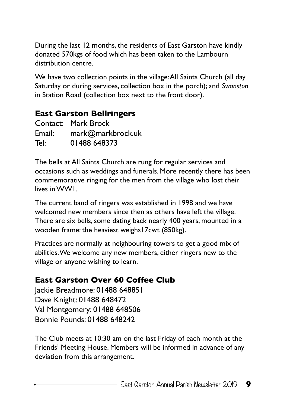During the last 12 months, the residents of East Garston have kindly donated 570kgs of food which has been taken to the Lambourn distribution centre.

We have two collection points in the village: All Saints Church (all day Saturday or during services, collection box in the porch); and *Swanston* in Station Road (collection box next to the front door).

#### **East Garston Bellringers**

|        | Contact: Mark Brock |
|--------|---------------------|
| Email: | mark@markbrock.uk   |
| Tel:   | 01488 648373        |

The bells at All Saints Church are rung for regular services and occasions such as weddings and funerals. More recently there has been commemorative ringing for the men from the village who lost their lives in WW1.

The current band of ringers was established in 1998 and we have welcomed new members since then as others have left the village. There are six bells, some dating back nearly 400 years, mounted in a wooden frame: the heaviest weighs17cwt (850kg).

Practices are normally at neighbouring towers to get a good mix of abilities. We welcome any new members, either ringers new to the village or anyone wishing to learn.

#### **East Garston Over 60 Coffee Club**

Jackie Breadmore: 01488 648851 Dave Knight: 01488 648472 Val Montgomery: 01488 648506 Bonnie Pounds: 01488 648242

The Club meets at 10:30 am on the last Friday of each month at the Friends' Meeting House. Members will be informed in advance of any deviation from this arrangement.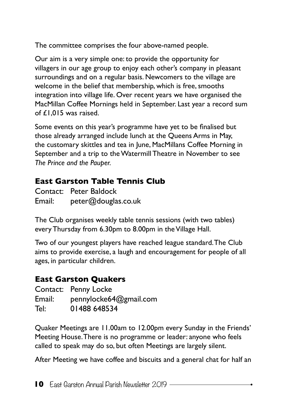The committee comprises the four above-named people.

Our aim is a very simple one: to provide the opportunity for villagers in our age group to enjoy each other's company in pleasant surroundings and on a regular basis. Newcomers to the village are welcome in the belief that membership, which is free, smooths integration into village life. Over recent years we have organised the MacMillan Coffee Mornings held in September. Last year a record sum of £1,015 was raised.

Some events on this year's programme have yet to be finalised but those already arranged include lunch at the Queens Arms in May, the customary skittles and tea in June, MacMillans Coffee Morning in September and a trip to the Watermill Theatre in November to see *The Prince and the Pauper.*

#### **East Garston Table Tennis Club**

|        | Contact: Peter Baldock |
|--------|------------------------|
| Email: | peter@douglas.co.uk    |

The Club organises weekly table tennis sessions (with two tables) every Thursday from 6.30pm to 8.00pm in the Village Hall.

Two of our youngest players have reached league standard. The Club aims to provide exercise, a laugh and encouragement for people of all ages, in particular children.

#### **East Garston Quakers**

|        | Contact: Penny Locke   |
|--------|------------------------|
| Email: | pennylocke64@gmail.com |
| Tel:   | 01488 648534           |

Quaker Meetings are 11.00am to 12.00pm every Sunday in the Friends' Meeting House. There is no programme or leader: anyone who feels called to speak may do so, but often Meetings are largely silent.

After Meeting we have coffee and biscuits and a general chat for half an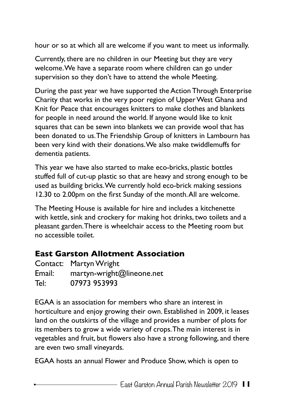hour or so at which all are welcome if you want to meet us informally.

Currently, there are no children in our Meeting but they are very welcome. We have a separate room where children can go under supervision so they don't have to attend the whole Meeting.

During the past year we have supported the Action Through Enterprise Charity that works in the very poor region of Upper West Ghana and Knit for Peace that encourages knitters to make clothes and blankets for people in need around the world. If anyone would like to knit squares that can be sewn into blankets we can provide wool that has been donated to us. The Friendship Group of knitters in Lambourn has been very kind with their donations. We also make twiddlemuffs for dementia patients.

This year we have also started to make eco-bricks, plastic bottles stuffed full of cut-up plastic so that are heavy and strong enough to be used as building bricks. We currently hold eco-brick making sessions 12.30 to 2.00pm on the first Sunday of the month. All are welcome.

The Meeting House is available for hire and includes a kitchenette with kettle, sink and crockery for making hot drinks, two toilets and a pleasant garden. There is wheelchair access to the Meeting room but no accessible toilet.

#### **East Garston Allotment Association**

|        | Contact: Martyn Wright    |
|--------|---------------------------|
| Email: | martyn-wright@lineone.net |
| Tel:   | 07973 953993              |

EGAA is an association for members who share an interest in horticulture and enjoy growing their own. Established in 2009, it leases land on the outskirts of the village and provides a number of plots for its members to grow a wide variety of crops. The main interest is in vegetables and fruit, but flowers also have a strong following, and there are even two small vineyards.

EGAA hosts an annual Flower and Produce Show, which is open to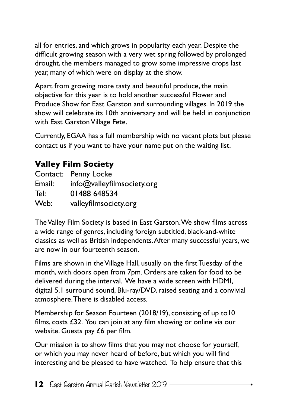all for entries, and which grows in popularity each year. Despite the difficult growing season with a very wet spring followed by prolonged drought, the members managed to grow some impressive crops last year, many of which were on display at the show.

Apart from growing more tasty and beautiful produce, the main objective for this year is to hold another successful Flower and Produce Show for East Garston and surrounding villages. In 2019 the show will celebrate its 10th anniversary and will be held in conjunction with East Garston Village Fete.

Currently, EGAA has a full membership with no vacant plots but please contact us if you want to have your name put on the waiting list.

#### **Valley Film Society**

| Contact: | Penny Locke                |
|----------|----------------------------|
| Email:   | info@valleyfilmsociety.org |
| Tel:     | 01488 648534               |
| Web:     | valleyfilmsociety.org      |

The Valley Film Society is based in East Garston. We show films across a wide range of genres, including foreign subtitled, black-and-white classics as well as British independents. After many successful years, we are now in our fourteenth season.

Films are shown in the Village Hall, usually on the first Tuesday of the month, with doors open from 7pm. Orders are taken for food to be delivered during the interval. We have a wide screen with HDMI, digital 5.1 surround sound, Blu-ray/DVD, raised seating and a convivial atmosphere. There is disabled access.

Membership for Season Fourteen (2018/19), consisting of up to10 films, costs £32. You can join at any film showing or online via our website. Guests pay £6 per film.

Our mission is to show films that you may not choose for yourself, or which you may never heard of before, but which you will find interesting and be pleased to have watched. To help ensure that this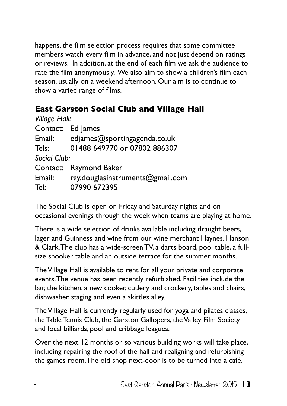happens, the film selection process requires that some committee members watch every film in advance, and not just depend on ratings or reviews. In addition, at the end of each film we ask the audience to rate the film anonymously. We also aim to show a children's film each season, usually on a weekend afternoon. Our aim is to continue to show a varied range of films.

#### **East Garston Social Club and Village Hall**

| Village Hall:                    |
|----------------------------------|
| Contact: Ed James                |
| edjames@sportingagenda.co.uk     |
| 01488 649770 or 07802 886307     |
| Social Club:                     |
| Contact: Raymond Baker           |
| ray.douglasinstruments@gmail.com |
| 07990 672395                     |
|                                  |

The Social Club is open on Friday and Saturday nights and on occasional evenings through the week when teams are playing at home.

There is a wide selection of drinks available including draught beers, lager and Guinness and wine from our wine merchant Haynes, Hanson & Clark. The club has a wide-screen TV, a darts board, pool table, a fullsize snooker table and an outside terrace for the summer months.

The Village Hall is available to rent for all your private and corporate events. The venue has been recently refurbished. Facilities include the bar, the kitchen, a new cooker, cutlery and crockery, tables and chairs, dishwasher, staging and even a skittles alley.

The Village Hall is currently regularly used for yoga and pilates classes, the Table Tennis Club, the Garston Gallopers, the Valley Film Society and local billiards, pool and cribbage leagues.

Over the next 12 months or so various building works will take place, including repairing the roof of the hall and realigning and refurbishing the games room. The old shop next-door is to be turned into a café.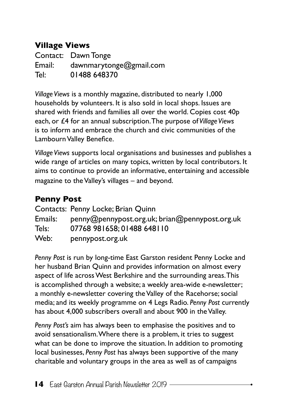#### **Village Views**

Contact: Dawn Tonge Email: [dawnmarytonge@gmail.com](mailto:dawnmarytonge@gmail.com) Tel: 01488 648370

*Village Views* is a monthly magazine, distributed to nearly 1,000 households by volunteers. It is also sold in local shops. Issues are shared with friends and families all over the world. Copies cost 40p each, or £4 for an annual subscription. The purpose of *Village Views* is to inform and embrace the church and civic communities of the Lambourn Valley Benefice.

*Village Views* supports local organisations and businesses and publishes a wide range of articles on many topics, written by local contributors. It aims to continue to provide an informative, entertaining and accessible magazine to the Valley's villages – and beyond.

#### **Penny Post**

|         | Contacts: Penny Locke; Brian Quinn             |
|---------|------------------------------------------------|
| Emails: | penny@pennypost.org.uk; brian@pennypost.org.uk |
| Tels:   | 07768 981658; 01488 648110                     |
| Web:    | pennypost.org.uk                               |

*Penny Post* is run by long-time East Garston resident Penny Locke and her husband Brian Quinn and provides information on almost every aspect of life across West Berkshire and the surrounding areas. This is accomplished through a website; a weekly area-wide e-newsletter; a monthly e-newsletter covering the Valley of the Racehorse; social media; and its weekly programme on 4 Legs Radio. *Penny Post* currently has about 4,000 subscribers overall and about 900 in the Valley.

*Penny Post's* aim has always been to emphasise the positives and to avoid sensationalism. Where there is a problem, it tries to suggest what can be done to improve the situation. In addition to promoting local businesses, *Penny Post* has always been supportive of the many charitable and voluntary groups in the area as well as of campaigns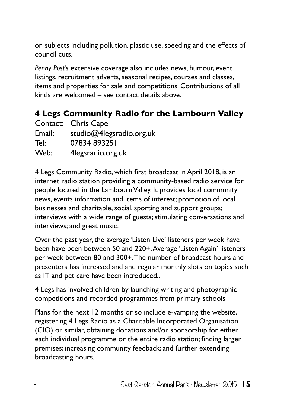on subjects including pollution, plastic use, speeding and the effects of council cuts.

*Penny Post's* extensive coverage also includes news, humour, event listings, recruitment adverts, seasonal recipes, courses and classes, items and properties for sale and competitions. Contributions of all kinds are welcomed – see contact details above.

#### **4 Legs Community Radio for the Lambourn Valley**

|        | Contact: Chris Capel     |
|--------|--------------------------|
| Email: | studio@4legsradio.org.uk |
| Tel:   | 07834 893251             |
| Web:   | 4legsradio.org.uk        |

4 Legs Community Radio, which first broadcast in April 2018, is an internet radio station providing a community-based radio service for people located in the Lambourn Valley. It provides local community news, events information and items of interest; promotion of local businesses and charitable, social, sporting and support groups; interviews with a wide range of guests; stimulating conversations and interviews; and great music.

Over the past year, the average 'Listen Live' listeners per week have been have been between 50 and 220+. Average 'Listen Again' listeners per week between 80 and 300+. The number of broadcast hours and presenters has increased and and regular monthly slots on topics such as IT and pet care have been introduced..

4 Legs has involved children by launching writing and photographic competitions and recorded programmes from primary schools

Plans for the next 12 months or so include e-vamping the website, registering 4 Legs Radio as a Charitable Incorporated Organisation (CIO) or similar, obtaining donations and/or sponsorship for either each individual programme or the entire radio station; finding larger premises; increasing community feedback; and further extending broadcasting hours.